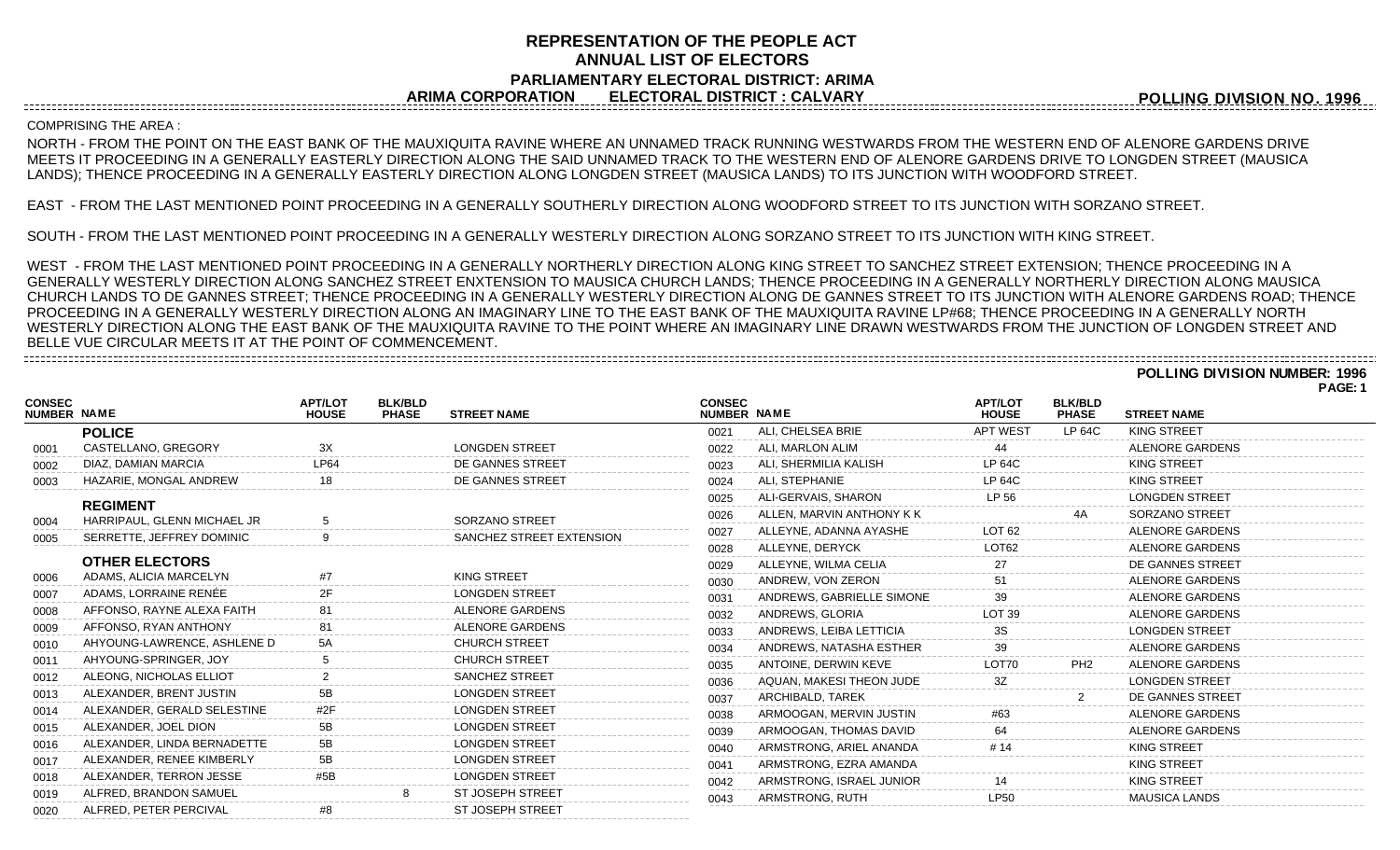# **REPRESENTATION OF THE PEOPLE ACT ANNUAL LIST OF ELECTORS PARLIAMENTARY ELECTORAL DISTRICT: ARIMA ARIMA CORPORATION ELECTORAL DISTRICT : CALVARY**

**POLLING DIVISION NO. 1996**

### COMPRISING THE AREA :

NORTH - FROM THE POINT ON THE EAST BANK OF THE MAUXIQUITA RAVINE WHERE AN UNNAMED TRACK RUNNING WESTWARDS FROM THE WESTERN END OF ALENORE GARDENS DRIVE MEETS IT PROCEEDING IN A GENERALLY EASTERLY DIRECTION ALONG THE SAID UNNAMED TRACK TO THE WESTERN END OF ALENORE GARDENS DRIVE TO LONGDEN STREET (MAUSICA LANDS); THENCE PROCEEDING IN A GENERALLY EASTERLY DIRECTION ALONG LONGDEN STREET (MAUSICA LANDS) TO ITS JUNCTION WITH WOODFORD STREET.

EAST - FROM THE LAST MENTIONED POINT PROCEEDING IN A GENERALLY SOUTHERLY DIRECTION ALONG WOODFORD STREET TO ITS JUNCTION WITH SORZANO STREET.

SOUTH - FROM THE LAST MENTIONED POINT PROCEEDING IN A GENERALLY WESTERLY DIRECTION ALONG SORZANO STREET TO ITS JUNCTION WITH KING STREET.

WEST - FROM THE LAST MENTIONED POINT PROCEEDING IN A GENERALLY NORTHERLY DIRECTION ALONG KING STREET TO SANCHEZ STREET EXTENSION; THENCE PROCEEDING IN A GENERALLY WESTERLY DIRECTION ALONG SANCHEZ STREET ENXTENSION TO MAUSICA CHURCH LANDS; THENCE PROCEEDING IN A GENERALLY NORTHERLY DIRECTION ALONG MAUSICA CHURCH LANDS TO DE GANNES STREET; THENCE PROCEEDING IN A GENERALLY WESTERLY DIRECTION ALONG DE GANNES STREET TO ITS JUNCTION WITH ALENORE GARDENS ROAD; THENCE PROCEEDING IN A GENERALLY WESTERLY DIRECTION ALONG AN IMAGINARY LINE TO THE EAST BANK OF THE MAUXIQUITA RAVINE LP#68; THENCE PROCEEDING IN A GENERALLY NORTH WESTERLY DIRECTION ALONG THE EAST BANK OF THE MAUXIQUITA RAVINE TO THE POINT WHERE AN IMAGINARY LINE DRAWN WESTWARDS FROM THE JUNCTION OF LONGDEN STREET AND BELLE VUE CIRCULAR MEETS IT AT THE POINT OF COMMENCEMENT. 

### **POLLING DIVISION NUMBER: 1996 PAGE: 1**

| <b>CONSEC</b><br>NUMBER NAME |                             | <b>APT/LOT</b><br><b>HOUSE</b> | <b>BLK/BLD</b><br><b>PHASE</b> | <b>STREET NAME</b>       | <b>CONSEC</b><br>NUMBER NAME |                           | <b>APT/LOT</b><br><b>HOUSE</b> | <b>BLK/BLD</b><br><b>PHASE</b> | <b>STREET NAME</b>     |
|------------------------------|-----------------------------|--------------------------------|--------------------------------|--------------------------|------------------------------|---------------------------|--------------------------------|--------------------------------|------------------------|
|                              | <b>POLICE</b>               |                                |                                |                          | 0021                         | ALI, CHELSEA BRIE         | <b>APT WEST</b>                | <b>LP 64C</b>                  | KING STREET            |
| 0001                         | CASTELLANO, GREGORY         |                                |                                | <b>LONGDEN STREET</b>    | 0022                         | ALI, MARLON ALIM          |                                |                                | ALENORE GARDENS        |
| 0002                         | DIAZ, DAMIAN MARCIA         | LP64                           |                                | DE GANNES STREET         | 0023                         | ALI, SHERMILIA KALISH     | <b>LP 64C</b>                  |                                | <b>KING STREET</b>     |
| 0003                         | HAZARIE, MONGAL ANDREW      |                                |                                | DE GANNES STREET         | 0024                         | ALI. STEPHANIE            | LP 64C                         |                                | KING STREET            |
|                              | <b>REGIMENT</b>             |                                |                                |                          | 0025                         | ALI-GERVAIS, SHARON       | LP 56                          |                                | <b>LONGDEN STREET</b>  |
| 0004                         | HARRIPAUL, GLENN MICHAEL JR |                                |                                | SORZANO STREET           | 0026                         | ALLEN, MARVIN ANTHONY K K |                                | 4A                             | SORZANO STREET         |
| 0005                         | SERRETTE, JEFFREY DOMINIC   |                                |                                | SANCHEZ STREET EXTENSION | 0027                         | ALLEYNE, ADANNA AYASHE    | LOT 62                         |                                | ALENORE GARDENS        |
|                              |                             |                                |                                |                          | 0028                         | ALLEYNE, DERYCK           | LOT62                          |                                | ALENORE GARDENS        |
|                              | <b>OTHER ELECTORS</b>       |                                |                                |                          | 0029                         | ALLEYNE, WILMA CELIA      |                                |                                | DE GANNES STREET       |
| 0006                         | ADAMS, ALICIA MARCELYN      |                                |                                | <b>KING STREET</b>       | 0030                         | ANDREW. VON ZERON         |                                |                                | <b>ALENORE GARDENS</b> |
| 0007                         | ADAMS, LORRAINE RENÉE       |                                |                                | <b>LONGDEN STREET</b>    | 0031                         | ANDREWS, GABRIELLE SIMONE |                                |                                | ALENORE GARDENS        |
| 0008                         | AFFONSO, RAYNE ALEXA FAITH  |                                |                                | ALENORE GARDENS          | 0032                         | ANDREWS, GLORIA           | LOT <sub>39</sub>              |                                | ALENORE GARDENS        |
| 0009                         | AFFONSO, RYAN ANTHONY       |                                |                                | ALENORE GARDENS          | 0033                         | ANDREWS, LEIBA LETTICIA   |                                |                                | <b>LONGDEN STREET</b>  |
| 0010                         | AHYOUNG-LAWRENCE, ASHLENE D |                                |                                | <b>CHURCH STREET</b>     | 0034                         | ANDREWS, NATASHA ESTHER   | 39                             |                                | ALENORE GARDENS        |
| 0011                         | AHYOUNG-SPRINGER, JOY       |                                |                                | <b>CHURCH STREET</b>     | 0035                         | ANTOINE, DERWIN KEVE      | LOT70                          | PH <sub>2</sub>                | ALENORE GARDENS        |
| 0012                         | ALEONG, NICHOLAS ELLIOT     |                                |                                | <b>SANCHEZ STREET</b>    | 0036                         | AQUAN, MAKESI THEON JUDE  | 3Z                             |                                | <b>LONGDEN STREET</b>  |
| 0013                         | ALEXANDER, BRENT JUSTIN     |                                |                                | <b>LONGDEN STREET</b>    | 0037                         | ARCHIBALD, TAREK          |                                |                                | DE GANNES STREET       |
| 0014                         | ALEXANDER, GERALD SELESTINE |                                |                                | <b>LONGDEN STREET</b>    | 0038                         | ARMOOGAN, MERVIN JUSTIN   |                                |                                | <b>ALENORE GARDENS</b> |
| 0015                         | ALEXANDER, JOEL DION        | 5Β                             |                                | <b>LONGDEN STREET</b>    | 0039                         | ARMOOGAN, THOMAS DAVID    |                                |                                | ALENORE GARDENS        |
| 0016                         | ALEXANDER, LINDA BERNADETTE |                                |                                | <b>LONGDEN STREET</b>    | 0040                         | ARMSTRONG, ARIEL ANANDA   |                                |                                | KING STREET            |
| 0017                         | ALEXANDER, RENEE KIMBERLY   |                                |                                | <b>LONGDEN STREET</b>    | 0041                         | ARMSTRONG, EZRA AMANDA    |                                |                                | KING STREET            |
| 0018                         | ALEXANDER, TERRON JESSE     |                                |                                | <b>LONGDEN STREET</b>    | 0042                         | ARMSTRONG, ISRAEL JUNIOR  |                                |                                | KING STREET            |
| 0019                         | ALFRED, BRANDON SAMUEL      |                                |                                | <b>ST JOSEPH STREET</b>  | 0043                         | ARMSTRONG, RUTH           | I P <sub>50</sub>              |                                | <b>MAUSICA LANDS</b>   |
| 0020                         | ALFRED. PETER PERCIVAL      |                                |                                | ST JOSEPH STREET         |                              |                           |                                |                                |                        |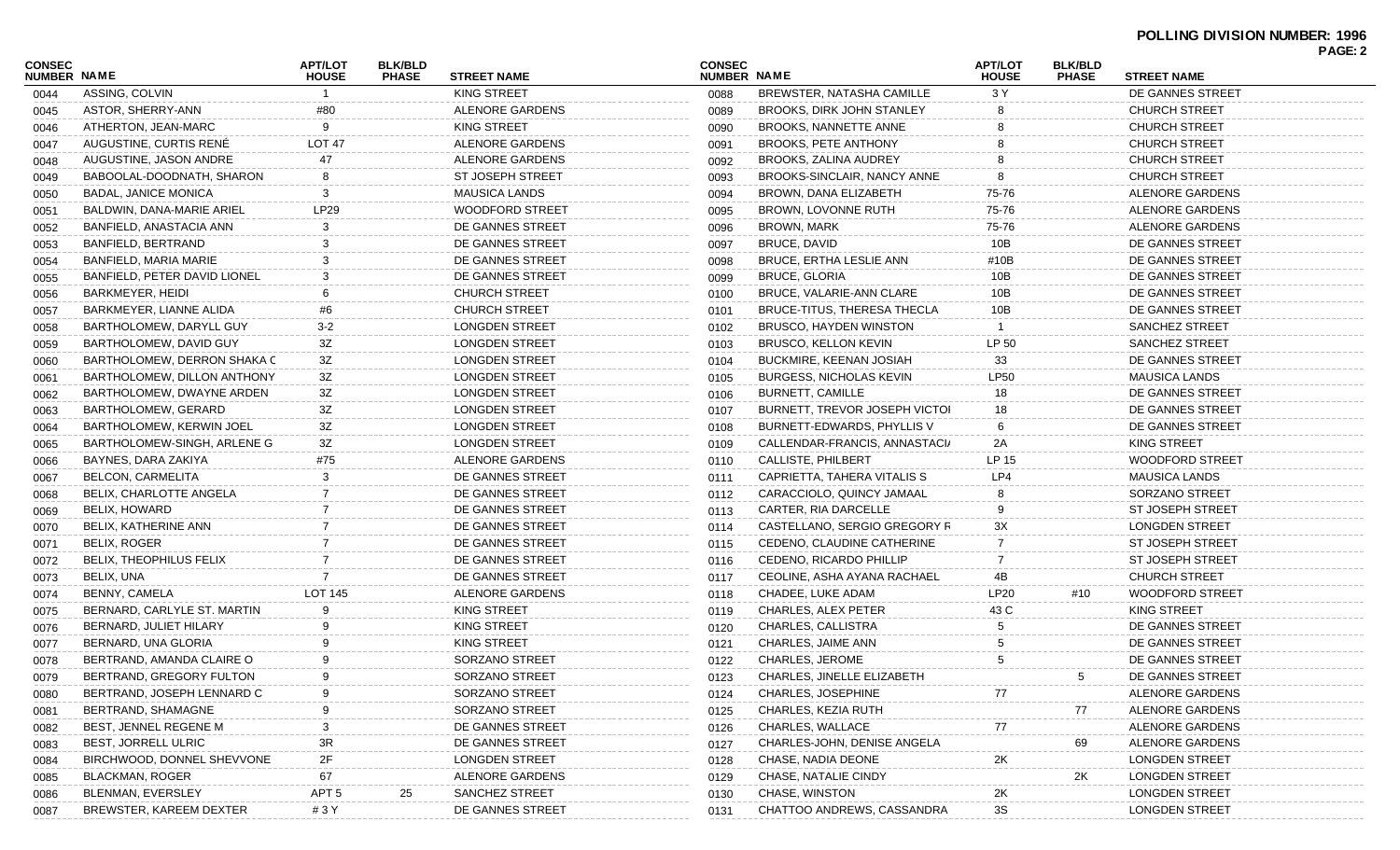|                              |                                |                                |                                |                         |                              |                                  |                                |                                |                         | PAGE: 2 |
|------------------------------|--------------------------------|--------------------------------|--------------------------------|-------------------------|------------------------------|----------------------------------|--------------------------------|--------------------------------|-------------------------|---------|
| <b>CONSEC</b><br>NUMBER NAME |                                | <b>APT/LOT</b><br><b>HOUSE</b> | <b>BLK/BLD</b><br><b>PHASE</b> | <b>STREET NAME</b>      | <b>CONSEC</b><br>NUMBER NAME |                                  | <b>APT/LOT</b><br><b>HOUSE</b> | <b>BLK/BLD</b><br><b>PHASE</b> | <b>STREET NAME</b>      |         |
| 0044                         | ASSING, COLVIN                 |                                |                                | <b>KING STREET</b>      | 0088                         | <b>BREWSTER, NATASHA CAMILLE</b> | 3 Y                            |                                | DE GANNES STREET        |         |
| 0045                         | ASTOR, SHERRY-ANN              | #80                            |                                | ALENORE GARDENS         | 0089                         | BROOKS, DIRK JOHN STANLEY        |                                |                                | <b>CHURCH STREET</b>    |         |
| 0046                         | ATHERTON, JEAN-MARC            | 9                              |                                | <b>KING STREET</b>      | 0090                         | BROOKS, NANNETTE ANNE            |                                |                                | <b>CHURCH STREET</b>    |         |
| 0047                         | AUGUSTINE, CURTIS RENE         | <b>LOT 47</b>                  |                                | ALENORE GARDENS         | 0091                         | <b>BROOKS, PETE ANTHONY</b>      |                                |                                | <b>CHURCH STREET</b>    |         |
| 0048                         | AUGUSTINE, JASON ANDRE         | 47                             |                                | ALENORE GARDENS         | 0092                         | BROOKS, ZALINA AUDREY            |                                |                                | <b>CHURCH STREET</b>    |         |
| 0049                         | BABOOLAL-DOODNATH, SHARON      | 8                              |                                | <b>ST JOSEPH STREET</b> | 0093                         | BROOKS-SINCLAIR, NANCY ANNE      | 8                              |                                | <b>CHURCH STREET</b>    |         |
| 0050                         | <b>BADAL, JANICE MONICA</b>    | 3                              |                                | <b>MAUSICA LANDS</b>    | 0094                         | BROWN, DANA ELIZABETH            | 75-76                          |                                | ALENORE GARDENS         |         |
| 0051                         | BALDWIN, DANA-MARIE ARIEL      | <b>LP29</b>                    |                                | <b>WOODFORD STREET</b>  | 0095                         | BROWN, LOVONNE RUTH              | 75-76                          |                                | ALENORE GARDENS         |         |
| 0052                         | BANFIELD, ANASTACIA ANN        | 3                              |                                | DE GANNES STREET        | 0096                         | <b>BROWN, MARK</b>               | 75-76                          |                                | ALENORE GARDENS         |         |
| 0053                         | BANFIELD, BERTRAND             | 3                              |                                | DE GANNES STREET        | 0097                         | <b>BRUCE, DAVID</b>              | 10B                            |                                | DE GANNES STREET        |         |
| 0054                         | BANFIELD, MARIA MARIE          | 3                              |                                | DE GANNES STREET        | 0098                         | <b>BRUCE, ERTHA LESLIE ANN</b>   | #10B                           |                                | DE GANNES STREET        |         |
| 0055                         | BANFIELD, PETER DAVID LIONEL   | 3                              |                                | DE GANNES STREET        | 0099                         | <b>BRUCE, GLORIA</b>             | 10B                            |                                | DE GANNES STREET        |         |
| 0056                         | BARKMEYER, HEIDI               |                                |                                | <b>CHURCH STREET</b>    | 0100                         | BRUCE, VALARIE-ANN CLARE         | 10B                            |                                | DE GANNES STREET        |         |
| 0057                         | BARKMEYER, LIANNE ALIDA        | #6                             |                                | CHURCH STREET           | 0101                         | BRUCE-TITUS, THERESA THECLA      | 10B                            |                                | DE GANNES STREET        |         |
| 0058                         | BARTHOLOMEW, DARYLL GUY        | $3-2$                          |                                | <b>LONGDEN STREET</b>   | 0102                         | BRUSCO, HAYDEN WINSTON           |                                |                                | <b>SANCHEZ STREET</b>   |         |
| 0059                         | BARTHOLOMEW, DAVID GUY         | 3Z                             |                                | <b>LONGDEN STREET</b>   | 0103                         | BRUSCO, KELLON KEVIN             | LP 50                          |                                | <b>SANCHEZ STREET</b>   |         |
| 0060                         | BARTHOLOMEW, DERRON SHAKA C    | 3Z                             |                                | <b>LONGDEN STREET</b>   | 0104                         | <b>BUCKMIRE, KEENAN JOSIAH</b>   | 33                             |                                | DE GANNES STREET        |         |
| 0061                         | BARTHOLOMEW, DILLON ANTHONY    | 3Z                             |                                | <b>LONGDEN STREET</b>   | 0105                         | <b>BURGESS, NICHOLAS KEVIN</b>   | <b>LP50</b>                    |                                | <b>MAUSICA LANDS</b>    |         |
| 0062                         | BARTHOLOMEW, DWAYNE ARDEN      | 3Z                             |                                | <b>LONGDEN STREET</b>   | 0106                         | <b>BURNETT, CAMILLE</b>          | 18                             |                                | DE GANNES STREET        |         |
| 0063                         | BARTHOLOMEW, GERARD            | 3Z                             |                                | <b>LONGDEN STREET</b>   | 0107                         | BURNETT, TREVOR JOSEPH VICTOI    | 18                             |                                | DE GANNES STREET        |         |
| 0064                         | BARTHOLOMEW, KERWIN JOEL       | 3Z                             |                                | <b>LONGDEN STREET</b>   | 0108                         | BURNETT-EDWARDS, PHYLLIS V       | 6                              |                                | DE GANNES STREET        |         |
| 0065                         | BARTHOLOMEW-SINGH, ARLENE G    | 3Z                             |                                | LONGDEN STREET          | 0109                         | CALLENDAR-FRANCIS, ANNASTACI/    | 2A                             |                                | <b>KING STREET</b>      |         |
| 0066                         | BAYNES, DARA ZAKIYA            | #75                            |                                | ALENORE GARDENS         | 0110                         | <b>CALLISTE, PHILBERT</b>        | LP 15                          |                                | <b>WOODFORD STREET</b>  |         |
| 0067                         | BELCON, CARMELITA              | 3                              |                                | DE GANNES STREET        | 0111                         | CAPRIETTA, TAHERA VITALIS S      | LP4                            |                                | <b>MAUSICA LANDS</b>    |         |
| 0068                         | BELIX, CHARLOTTE ANGELA        |                                |                                | DE GANNES STREET        | 0112                         | CARACCIOLO, QUINCY JAMAAL        | 8                              |                                | SORZANO STREET          |         |
| 0069                         | BELIX, HOWARD                  |                                |                                | DE GANNES STREET        | 0113                         | CARTER, RIA DARCELLE             | 9                              |                                | <b>ST JOSEPH STREET</b> |         |
| 0070                         | BELIX, KATHERINE ANN           |                                |                                | DE GANNES STREET        | 0114                         | CASTELLANO, SERGIO GREGORY R     | 3X                             |                                | <b>LONGDEN STREET</b>   |         |
| 0071                         | BELIX, ROGER                   |                                |                                | DE GANNES STREET        | 0115                         | CEDENO, CLAUDINE CATHERINE       |                                |                                | <b>ST JOSEPH STREET</b> |         |
| 0072                         | <b>BELIX, THEOPHILUS FELIX</b> |                                |                                | DE GANNES STREET        | 0116                         | CEDENO, RICARDO PHILLIP          | 7                              |                                | <b>ST JOSEPH STREET</b> |         |
| 0073                         | BELIX, UNA                     |                                |                                | DE GANNES STREET        | 0117                         | CEOLINE, ASHA AYANA RACHAEL      | 4B                             |                                | <b>CHURCH STREET</b>    |         |
| 0074                         | BENNY, CAMELA                  | LOT 145                        |                                | ALENORE GARDENS         | 0118                         | CHADEE, LUKE ADAM                | LP20                           | #10                            | <b>WOODFORD STREET</b>  |         |
| 0075                         | BERNARD, CARLYLE ST. MARTIN    | 9                              |                                | <b>KING STREET</b>      | 0119                         | <b>CHARLES, ALEX PETER</b>       | 43 C                           |                                | KING STREET             |         |
|                              | BERNARD, JULIET HILARY         | 9                              |                                | <b>KING STREET</b>      | 0120                         | CHARLES, CALLISTRA               | 5                              |                                | DE GANNES STREET        |         |
| 0076                         | BERNARD, UNA GLORIA            | <b>q</b>                       |                                | <b>KING STREET</b>      |                              | CHARLES, JAIME ANN               |                                |                                | DE GANNES STREET        |         |
| 0077                         | BERTRAND, AMANDA CLAIRE O      | 9                              |                                | SORZANO STREET          | 0121                         | <b>CHARLES, JEROME</b>           | 5                              |                                | DE GANNES STREET        |         |
| 0078                         |                                | 9                              |                                | SORZANO STREET          | 0122                         | CHARLES, JINELLE ELIZABETH       |                                | 5                              | DE GANNES STREET        |         |
| 0079                         | BERTRAND, GREGORY FULTON       |                                |                                |                         | 0123                         |                                  |                                |                                |                         |         |
| 0080                         | BERTRAND, JOSEPH LENNARD C     |                                |                                | SORZANO STREET          | 0124                         | CHARLES, JOSEPHINE               | 77                             |                                | ALENORE GARDENS         |         |
| 0081                         | BERTRAND, SHAMAGNE             |                                |                                | SORZANO STREET          | 0125                         | CHARLES, KEZIA RUTH              |                                | 77                             | ALENORE GARDENS         |         |
| 0082                         | BEST, JENNEL REGENE M          | 3                              |                                | DE GANNES STREET        | 0126                         | <b>CHARLES, WALLACE</b>          | $77$                           |                                | ALENORE GARDENS         |         |
| 0083                         | <b>BEST, JORRELL ULRIC</b>     | 3R                             |                                | DE GANNES STREET        | 0127                         | CHARLES-JOHN, DENISE ANGELA      |                                | 69                             | ALENORE GARDENS         |         |
| 0084                         | BIRCHWOOD, DONNEL SHEVVONE     | 2F                             |                                | <b>LONGDEN STREET</b>   | 0128                         | CHASE, NADIA DEONE               | $2\mathsf{K}$                  |                                | <b>LONGDEN STREET</b>   |         |
| 0085                         | BLACKMAN, ROGER                | 67                             |                                | ALENORE GARDENS         | 0129                         | CHASE, NATALIE CINDY             |                                | 2K                             | <b>LONGDEN STREET</b>   |         |
| 0086                         | BLENMAN, EVERSLEY              | APT <sub>5</sub>               | 25                             | SANCHEZ STREET          | 0130                         | CHASE, WINSTON                   | 2K                             |                                | <b>LONGDEN STREET</b>   |         |
| 0087                         | BREWSTER, KAREEM DEXTER        | #3Y                            |                                | DE GANNES STREET        | 0131                         | CHATTOO ANDREWS, CASSANDRA       | 3S                             |                                | <b>LONGDEN STREET</b>   |         |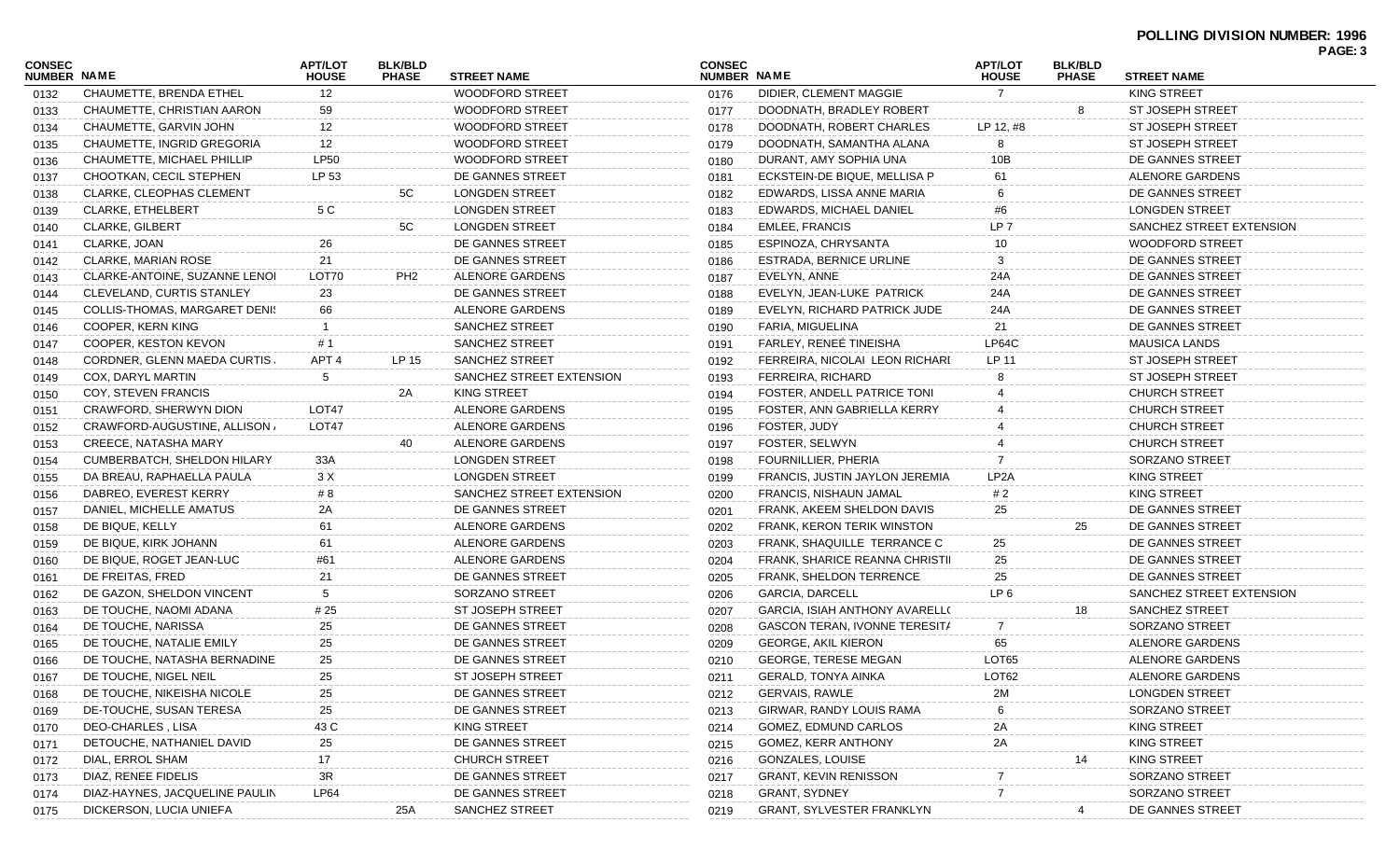| <b>CONSEC</b><br><b>NUMBER NAME</b> |                                | <b>APT/LOT</b><br><b>HOUSE</b> | <b>BLK/BLD</b><br><b>PHASE</b> | <b>STREET NAME</b>       | <b>CONSEC</b><br>NUMBER NAME |                                       | <b>APT/LOT</b><br><b>HOUSE</b> | <b>BLK/BLD</b><br><b>PHASE</b> | <b>STREET NAME</b>       | PAGE: 3 |
|-------------------------------------|--------------------------------|--------------------------------|--------------------------------|--------------------------|------------------------------|---------------------------------------|--------------------------------|--------------------------------|--------------------------|---------|
| 0132                                | CHAUMETTE, BRENDA ETHEL        | 12                             |                                | <b>WOODFORD STREET</b>   | 0176                         | DIDIER, CLEMENT MAGGIE                | $\overline{7}$                 |                                | KING STREET              |         |
| 0133                                | CHAUMETTE, CHRISTIAN AARON     | 59                             |                                | <b>WOODFORD STREET</b>   | 0177                         | DOODNATH, BRADLEY ROBERT              |                                | 8                              | <b>ST JOSEPH STREET</b>  |         |
| 0134                                | CHAUMETTE, GARVIN JOHN         | 12                             |                                | <b>WOODFORD STREET</b>   | 0178                         | DOODNATH, ROBERT CHARLES              | LP 12, #8                      |                                | <b>ST JOSEPH STREET</b>  |         |
| 0135                                | CHAUMETTE, INGRID GREGORIA     | 12                             |                                | <b>WOODFORD STREET</b>   | 0179                         | DOODNATH, SAMANTHA ALANA              |                                |                                | <b>ST JOSEPH STREET</b>  |         |
| 0136                                | CHAUMETTE, MICHAEL PHILLIP     | <b>LP50</b>                    |                                | <b>WOODFORD STREET</b>   | 0180                         | DURANT, AMY SOPHIA UNA                | 10B                            |                                | DE GANNES STREET         |         |
| 0137                                | CHOOTKAN, CECIL STEPHEN        | LP 53                          |                                | DE GANNES STREET         | 0181                         | ECKSTEIN-DE BIQUE, MELLISA P          | 61                             |                                | ALENORE GARDENS          |         |
| 0138                                | CLARKE, CLEOPHAS CLEMENT       |                                | 5C                             | <b>LONGDEN STREET</b>    | 0182                         | EDWARDS, LISSA ANNE MARIA             |                                |                                | DE GANNES STREET         |         |
| 0139                                | <b>CLARKE, ETHELBERT</b>       | 5 C                            |                                | <b>LONGDEN STREET</b>    | 0183                         | EDWARDS, MICHAEL DANIEL               | #6                             |                                | <b>LONGDEN STREET</b>    |         |
| 0140                                | <b>CLARKE, GILBERT</b>         |                                | 5C                             | <b>LONGDEN STREET</b>    | 0184                         | <b>EMLEE, FRANCIS</b>                 | LP <sub>7</sub>                |                                | SANCHEZ STREET EXTENSION |         |
| 0141                                | CLARKE, JOAN                   | 26                             |                                | DE GANNES STREET         | 0185                         | ESPINOZA, CHRYSANTA                   | 10                             |                                | <b>WOODFORD STREET</b>   |         |
| 0142                                | <b>CLARKE, MARIAN ROSE</b>     | 21                             |                                | DE GANNES STREET         | 0186                         | ESTRADA, BERNICE URLINE               | 3                              |                                | DE GANNES STREET         |         |
| 0143                                | CLARKE-ANTOINE, SUZANNE LENOI  | LOT70                          | PH <sub>2</sub>                | ALENORE GARDENS          | 0187                         | EVELYN, ANNE                          | 24A                            |                                | DE GANNES STREET         |         |
| 0144                                | CLEVELAND, CURTIS STANLEY      | 23                             |                                | DE GANNES STREET         | 0188                         | EVELYN, JEAN-LUKE PATRICK             | 24A                            |                                | DE GANNES STREET         |         |
| 0145                                | COLLIS-THOMAS, MARGARET DENIS  | 66                             |                                | ALENORE GARDENS          | 0189                         | EVELYN, RICHARD PATRICK JUDE          | 24A                            |                                | DE GANNES STREET         |         |
| 0146                                | COOPER, KERN KING              |                                |                                | <b>SANCHEZ STREET</b>    | 0190                         | FARIA, MIGUELINA                      | 21                             |                                | DE GANNES STREET         |         |
| 0147                                | COOPER. KESTON KEVON           | # 1                            |                                | <b>SANCHEZ STREET</b>    | 0191                         | FARLEY. RENEÉ TINEISHA                | LP64C                          |                                | <b>MAUSICA LANDS</b>     |         |
| 0148                                | CORDNER, GLENN MAEDA CURTIS.   | APT <sub>4</sub>               | LP 15                          | SANCHEZ STREET           | 0192                         | FERREIRA, NICOLAI LEON RICHARI        | LP 11                          |                                | <b>ST JOSEPH STREET</b>  |         |
| 0149                                | COX, DARYL MARTIN              | 5                              |                                | SANCHEZ STREET EXTENSION | 0193                         | FERREIRA, RICHARD                     |                                |                                | <b>ST JOSEPH STREET</b>  |         |
| 0150                                | COY, STEVEN FRANCIS            |                                | 2A                             | KING STREET              | 0194                         | <b>FOSTER, ANDELL PATRICE TONI</b>    |                                |                                | <b>CHURCH STREET</b>     |         |
| 0151                                | CRAWFORD, SHERWYN DION         | LOT <sub>47</sub>              |                                | ALENORE GARDENS          | 0195                         | FOSTER, ANN GABRIELLA KERRY           |                                |                                | <b>CHURCH STREET</b>     |         |
| 0152                                | CRAWFORD-AUGUSTINE, ALLISON,   | LOT47                          |                                | ALENORE GARDENS          | 0196                         | FOSTER, JUDY                          |                                |                                | <b>CHURCH STREET</b>     |         |
| 0153                                | CREECE, NATASHA MARY           |                                | 40                             | ALENORE GARDENS          | 0197                         | FOSTER, SELWYN                        |                                |                                | <b>CHURCH STREET</b>     |         |
| 0154                                | CUMBERBATCH, SHELDON HILARY    | 33A                            |                                | <b>LONGDEN STREET</b>    | 0198                         | FOURNILLIER, PHERIA                   |                                |                                | SORZANO STREET           |         |
| 0155                                | DA BREAU, RAPHAELLA PAULA      | 3 X                            |                                | <b>LONGDEN STREET</b>    | 0199                         | FRANCIS, JUSTIN JAYLON JEREMIA        | LP <sub>2</sub> A              |                                | <b>KING STREET</b>       |         |
| 0156                                | DABREO, EVEREST KERRY          | # 8                            |                                | SANCHEZ STREET EXTENSION | 0200                         | FRANCIS, NISHAUN JAMAL                | # 2                            |                                | KING STREET              |         |
| 0157                                | DANIEL, MICHELLE AMATUS        | 2A                             |                                | DE GANNES STREET         | 0201                         | FRANK, AKEEM SHELDON DAVIS            | 25                             |                                | DE GANNES STREET         |         |
| 0158                                | DE BIQUE, KELLY                | 61                             |                                | ALENORE GARDENS          | 0202                         | FRANK, KERON TERIK WINSTON            |                                | 25                             | DE GANNES STREET         |         |
|                                     | DE BIQUE, KIRK JOHANN          | 61                             |                                | ALENORE GARDENS          | 0203                         | FRANK, SHAQUILLE TERRANCE C           | 25                             |                                | DE GANNES STREET         |         |
| 0159                                | DE BIQUE, ROGET JEAN-LUC       | #61                            |                                | ALENORE GARDENS          | 0204                         | FRANK, SHARICE REANNA CHRISTII        | 25                             |                                | DE GANNES STREET         |         |
| 0160                                | DE FREITAS, FRED               | 21                             |                                | DE GANNES STREET         | 0205                         | FRANK, SHELDON TERRENCE               | 25                             |                                | DE GANNES STREET         |         |
| 0161                                | DE GAZON, SHELDON VINCENT      | 5                              |                                | SORZANO STREET           | 0206                         | <b>GARCIA, DARCELL</b>                | LP <sub>6</sub>                |                                | SANCHEZ STREET EXTENSION |         |
| 0162                                | DE TOUCHE, NAOMI ADANA         | # 25                           |                                | ST JOSEPH STREET         |                              | <b>GARCIA. ISIAH ANTHONY AVARELL(</b> |                                | 18                             | SANCHEZ STREET           |         |
| 0163                                | DE TOUCHE, NARISSA             | 25                             |                                | DE GANNES STREET         | 0207                         | GASCON TERAN, IVONNE TERESITA         | 7                              |                                | SORZANO STREET           |         |
| 0164                                | DE TOUCHE, NATALIE EMILY       | 25                             |                                | DE GANNES STREET         | 0208                         | <b>GEORGE, AKIL KIERON</b>            | 65                             |                                | ALENORE GARDENS          |         |
| 0165                                | DE TOUCHE, NATASHA BERNADINE   | 25                             |                                | DE GANNES STREET         | 0209                         | <b>GEORGE, TERESE MEGAN</b>           | LOT65                          |                                | ALENORE GARDENS          |         |
| 0166                                | DE TOUCHE, NIGEL NEIL          |                                |                                |                          | 0210                         | <b>GERALD, TONYA AINKA</b>            | LOT62                          |                                | ALENORE GARDENS          |         |
| 0167                                |                                | 25                             |                                | ST JOSEPH STREET         | 0211                         | <b>GERVAIS, RAWLE</b>                 |                                |                                |                          |         |
| 0168                                | DE TOUCHE, NIKEISHA NICOLE     | 25                             |                                | DE GANNES STREET         | 0212                         |                                       | 2M                             |                                | <b>LONGDEN STREET</b>    |         |
| 0169                                | DE-TOUCHE, SUSAN TERESA        | 25                             |                                | DE GANNES STREET         | 0213                         | GIRWAR, RANDY LOUIS RAMA              |                                |                                | SORZANO STREET           |         |
| 0170                                | <b>DEO-CHARLES, LISA</b>       | 43 C                           |                                | <b>KING STREET</b>       | 0214                         | GOMEZ, EDMUND CARLOS                  | 2A                             |                                | <b>KING STREET</b>       |         |
| 0171                                | DETOUCHE, NATHANIEL DAVID      | 25                             |                                | DE GANNES STREET         | 0215                         | GOMEZ, KERR ANTHONY                   | 2A                             |                                | <b>KING STREET</b>       |         |
| 0172                                | DIAL, ERROL SHAM               | 17                             |                                | <b>CHURCH STREET</b>     | 0216                         | GONZALES, LOUISE                      |                                | 14                             | <b>KING STREET</b>       |         |
| 0173                                | DIAZ, RENEE FIDELIS            | 3R                             |                                | DE GANNES STREET         | 0217                         | <b>GRANT, KEVIN RENISSON</b>          |                                |                                | SORZANO STREET           |         |
| 0174                                | DIAZ-HAYNES, JACQUELINE PAULIN | <b>LP64</b>                    |                                | DE GANNES STREET         | 0218                         | <b>GRANT, SYDNEY</b>                  |                                |                                | SORZANO STREET           |         |
| 0175                                | DICKERSON, LUCIA UNIEFA        |                                | 25A                            | SANCHEZ STREET           | 0219                         | <b>GRANT, SYLVESTER FRANKLYN</b>      |                                | 4                              | DE GANNES STREET         |         |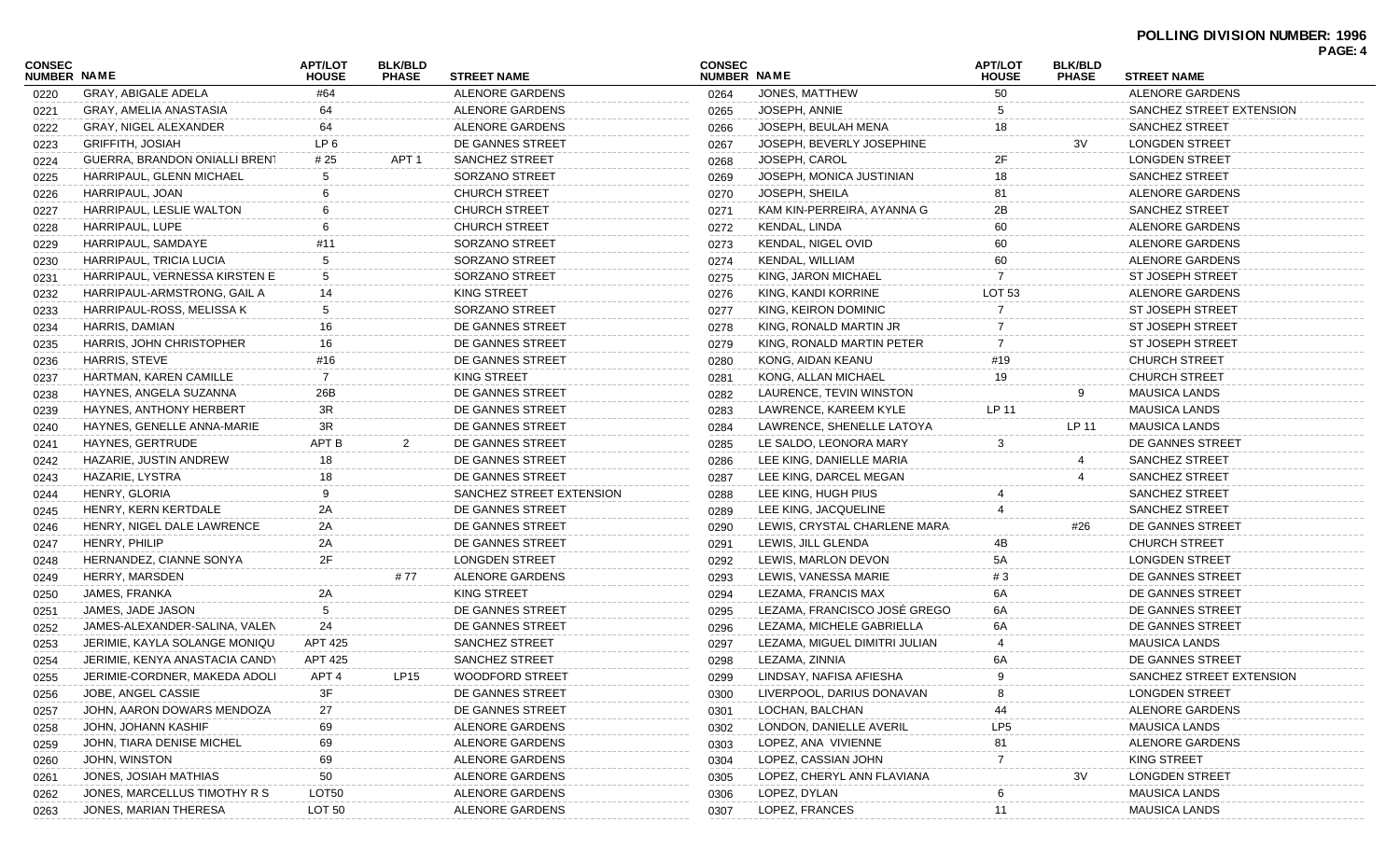| <b>CONSEC</b><br><b>NUMBER NAME</b> |                                | <b>APT/LOT</b><br><b>HOUSE</b> | <b>BLK/BLD</b><br><b>PHASE</b> | <b>STREET NAME</b>       | <b>CONSEC</b><br>NUMBER NAME |                               | <b>APT/LOT</b><br><b>HOUSE</b> | <b>BLK/BLD</b><br><b>PHASE</b> | <b>STREET NAME</b>       | PAGE: 4 |
|-------------------------------------|--------------------------------|--------------------------------|--------------------------------|--------------------------|------------------------------|-------------------------------|--------------------------------|--------------------------------|--------------------------|---------|
| 0220                                | GRAY, ABIGALE ADELA            | #64                            |                                | ALENORE GARDENS          | 0264                         | JONES, MATTHEW                | 50                             |                                | ALENORE GARDENS          |         |
| 0221                                | GRAY, AMELIA ANASTASIA         | 64                             |                                | ALENORE GARDENS          | 0265                         | JOSEPH, ANNIE                 |                                |                                | SANCHEZ STREET EXTENSION |         |
| 0222                                | GRAY, NIGEL ALEXANDER          | 64                             |                                | ALENORE GARDENS          | 0266                         | JOSEPH, BEULAH MENA           | 18                             |                                | <b>SANCHEZ STREET</b>    |         |
| 0223                                | <b>GRIFFITH, JOSIAH</b>        | LP 6                           |                                | DE GANNES STREET         | 0267                         | JOSEPH, BEVERLY JOSEPHINE     |                                | 3V                             | <b>LONGDEN STREET</b>    |         |
| 0224                                | GUERRA, BRANDON ONIALLI BRENT  | # 25                           | APT <sub>1</sub>               | <b>SANCHEZ STREET</b>    | 0268                         | JOSEPH, CAROL                 | 2F                             |                                | <b>LONGDEN STREET</b>    |         |
| 0225                                | HARRIPAUL, GLENN MICHAEL       | 5                              |                                | SORZANO STREET           | 0269                         | JOSEPH, MONICA JUSTINIAN      | 18                             |                                | <b>SANCHEZ STREET</b>    |         |
| 0226                                | HARRIPAUL, JOAN                |                                |                                | <b>CHURCH STREET</b>     | 0270                         | JOSEPH, SHEILA                |                                |                                | ALENORE GARDENS          |         |
| 0227                                | HARRIPAUL, LESLIE WALTON       |                                |                                | <b>CHURCH STREET</b>     | 0271                         | KAM KIN-PERREIRA, AYANNA G    | 2Β                             |                                | SANCHEZ STREET           |         |
| 0228                                | HARRIPAUL, LUPE                |                                |                                | <b>CHURCH STREET</b>     | 0272                         | KENDAL, LINDA                 | 60                             |                                | ALENORE GARDENS          |         |
| 0229                                | HARRIPAUL, SAMDAYE             | #11                            |                                | SORZANO STREET           | 0273                         | KENDAL, NIGEL OVID            | 60                             |                                | ALENORE GARDENS          |         |
| 0230                                | HARRIPAUL, TRICIA LUCIA        | 5                              |                                | SORZANO STREET           | 0274                         | KENDAL, WILLIAM               | 60                             |                                | ALENORE GARDENS          |         |
| 0231                                | HARRIPAUL, VERNESSA KIRSTEN E  | 5                              |                                | SORZANO STREET           | 0275                         | KING, JARON MICHAEL           |                                |                                | <b>ST JOSEPH STREET</b>  |         |
| 0232                                | HARRIPAUL-ARMSTRONG, GAIL A    | 14                             |                                | KING STREET              | 0276                         | KING, KANDI KORRINE           | <b>LOT 53</b>                  |                                | ALENORE GARDENS          |         |
| 0233                                | HARRIPAUL-ROSS, MELISSA K      | 5                              |                                | SORZANO STREET           | 0277                         | KING, KEIRON DOMINIC          |                                |                                | <b>ST JOSEPH STREET</b>  |         |
| 0234                                | <b>HARRIS, DAMIAN</b>          | 16                             |                                | DE GANNES STREET         | 0278                         | KING, RONALD MARTIN JR        |                                |                                | <b>ST JOSEPH STREET</b>  |         |
| 0235                                | HARRIS, JOHN CHRISTOPHER       | 16                             |                                | DE GANNES STREET         | 0279                         | KING, RONALD MARTIN PETER     |                                |                                | <b>ST JOSEPH STREET</b>  |         |
| 0236                                | HARRIS, STEVE                  | #16                            |                                | DE GANNES STREET         | 0280                         | KONG, AIDAN KEANU             | #19                            |                                | <b>CHURCH STREET</b>     |         |
| 0237                                | HARTMAN, KAREN CAMILLE         | $\overline{7}$                 |                                | KING STREET              | 0281                         | KONG, ALLAN MICHAEL           | 19                             |                                | <b>CHURCH STREET</b>     |         |
| 0238                                | HAYNES, ANGELA SUZANNA         | 26B                            |                                | DE GANNES STREET         | 0282                         | LAURENCE, TEVIN WINSTON       |                                | 9                              | <b>MAUSICA LANDS</b>     |         |
| 0239                                | <b>HAYNES, ANTHONY HERBERT</b> | 3R                             |                                | DE GANNES STREET         | 0283                         | LAWRENCE, KAREEM KYLE         | LP 11                          |                                | <b>MAUSICA LANDS</b>     |         |
| 0240                                | HAYNES, GENELLE ANNA-MARIE     | 3R                             |                                | DE GANNES STREET         | 0284                         | LAWRENCE, SHENELLE LATOYA     |                                | LP 11                          | <b>MAUSICA LANDS</b>     |         |
| 0241                                | <b>HAYNES, GERTRUDE</b>        | APT B                          | 2                              | DE GANNES STREET         | 0285                         | LE SALDO, LEONORA MARY        | 3                              |                                | DE GANNES STREET         |         |
| 0242                                | HAZARIE, JUSTIN ANDREW         | 18                             |                                | DE GANNES STREET         | 0286                         | LEE KING, DANIELLE MARIA      |                                |                                | <b>SANCHEZ STREET</b>    |         |
| 0243                                | HAZARIE, LYSTRA                | 18                             |                                | DE GANNES STREET         | 0287                         | LEE KING, DARCEL MEGAN        |                                |                                | <b>SANCHEZ STREET</b>    |         |
| 0244                                | HENRY, GLORIA                  | 9                              |                                | SANCHEZ STREET EXTENSION | 0288                         | LEE KING, HUGH PIUS           |                                |                                | <b>SANCHEZ STREET</b>    |         |
| 0245                                | HENRY, KERN KERTDALE           | 2A                             |                                | DE GANNES STREET         | 0289                         | LEE KING, JACQUELINE          |                                |                                | <b>SANCHEZ STREET</b>    |         |
| 0246                                | HENRY, NIGEL DALE LAWRENCE     | 2A                             |                                | DE GANNES STREET         | 0290                         | LEWIS, CRYSTAL CHARLENE MARA: |                                | #26                            | DE GANNES STREET         |         |
| 0247                                | HENRY, PHILIP                  | 2A                             |                                | DE GANNES STREET         | 0291                         | LEWIS, JILL GLENDA            | 4B                             |                                | <b>CHURCH STREET</b>     |         |
| 0248                                | HERNANDEZ, CIANNE SONYA        | 2F                             |                                | <b>LONGDEN STREET</b>    | 0292                         | LEWIS, MARLON DEVON           | 5А                             |                                | <b>LONGDEN STREET</b>    |         |
| 0249                                | HERRY, MARSDEN                 |                                | # 77                           | ALENORE GARDENS          | 0293                         | LEWIS, VANESSA MARIE          | # 3                            |                                | DE GANNES STREET         |         |
| 0250                                | JAMES, FRANKA                  | 2A                             |                                | <b>KING STREET</b>       | 0294                         | LEZAMA, FRANCIS MAX           | 6A                             |                                | DE GANNES STREET         |         |
| 0251                                | JAMES, JADE JASON              | 5                              |                                | DE GANNES STREET         | 0295                         | LEZAMA, FRANCISCO JOSE GREGO  | 6A                             |                                | DE GANNES STREET         |         |
| 0252                                | JAMES-ALEXANDER-SALINA, VALEN  | 24                             |                                | DE GANNES STREET         | 0296                         | LEZAMA, MICHELE GABRIELLA     | 6A                             |                                | DE GANNES STREET         |         |
| 0253                                | JERIMIE, KAYLA SOLANGE MONIQU  | APT 425                        |                                | SANCHEZ STREET           | 0297                         | LEZAMA, MIGUEL DIMITRI JULIAN |                                |                                | <b>MAUSICA LANDS</b>     |         |
| 0254                                | JERIMIE, KENYA ANASTACIA CANDY | APT 425                        |                                | SANCHEZ STREET           | 0298                         | LEZAMA, ZINNIA                | 6A                             |                                | DE GANNES STREET         |         |
| 0255                                | JERIMIE-CORDNER, MAKEDA ADOLI  | APT <sub>4</sub>               | LP15                           | <b>WOODFORD STREET</b>   | 0299                         | LINDSAY, NAFISA AFIESHA       | 9                              |                                | SANCHEZ STREET EXTENSION |         |
| 0256                                | JOBE, ANGEL CASSIE             | 3F                             |                                | DE GANNES STREET         | 0300                         | LIVERPOOL, DARIUS DONAVAN     |                                |                                | <b>LONGDEN STREET</b>    |         |
| 0257                                | JOHN, AARON DOWARS MENDOZA     | 27                             |                                | DE GANNES STREET         | 0301                         | LOCHAN, BALCHAN               | 44                             |                                | <b>ALENORE GARDENS</b>   |         |
| 0258                                | JOHN, JOHANN KASHIF            | 69                             |                                | ALENORE GARDENS          | 0302                         | LONDON, DANIELLE AVERIL       | LP <sub>5</sub>                |                                | <b>MAUSICA LANDS</b>     |         |
| 0259                                | JOHN, TIARA DENISE MICHEL      | 69                             |                                | ALENORE GARDENS          | 0303                         | LOPEZ, ANA VIVIENNE           | 81                             |                                | ALENORE GARDENS          |         |
| 0260                                | JOHN, WINSTON                  | 69                             |                                | ALENORE GARDENS          | 0304                         | LOPEZ, CASSIAN JOHN           |                                |                                | <b>KING STREET</b>       |         |
| 0261                                | JONES, JOSIAH MATHIAS          | 50                             |                                | ALENORE GARDENS          | 0305                         | LOPEZ, CHERYL ANN FLAVIANA    |                                | 3V                             | <b>LONGDEN STREET</b>    |         |
| 0262                                | JONES, MARCELLUS TIMOTHY R S   | LOT50                          |                                | ALENORE GARDENS          | 0306                         | LOPEZ, DYLAN                  |                                |                                | <b>MAUSICA LANDS</b>     |         |
| 0263                                | JONES, MARIAN THERESA          | LOT 50                         |                                | ALENORE GARDENS          | 0307                         | LOPEZ, FRANCES                | 11                             |                                | <b>MAUSICA LANDS</b>     |         |
|                                     |                                |                                |                                |                          |                              |                               |                                |                                |                          |         |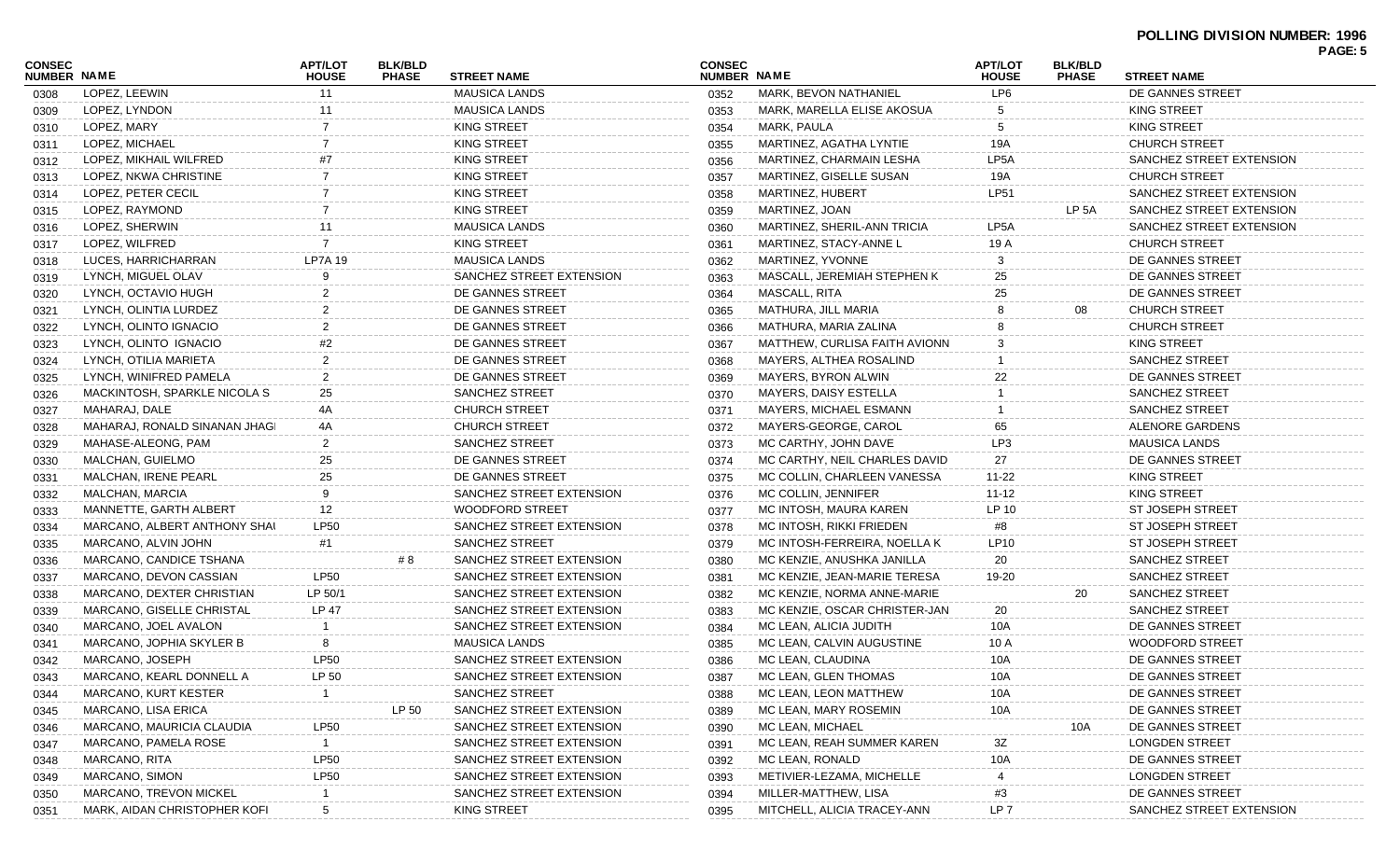| <b>CONSEC</b> |                               | <b>APT/LOT</b>     | <b>BLK/BLD</b> |                                            | <b>CONSEC</b> |                               | <b>APT/LOT</b>                  | <b>BLK/BLD</b>    |                                        | PAGE: 5 |
|---------------|-------------------------------|--------------------|----------------|--------------------------------------------|---------------|-------------------------------|---------------------------------|-------------------|----------------------------------------|---------|
| NUMBER NAME   | LOPEZ, LEEWIN                 | <b>HOUSE</b><br>11 | <b>PHASE</b>   | <b>STREET NAME</b><br><b>MAUSICA LANDS</b> | NUMBER NAME   | MARK, BEVON NATHANIEL         | <b>HOUSE</b><br>LP <sub>6</sub> | <b>PHASE</b>      | <b>STREET NAME</b><br>DE GANNES STREET |         |
| 0308          | LOPEZ, LYNDON                 | 11                 |                | <b>MAUSICA LANDS</b>                       | 0352          | MARK, MARELLA ELISE AKOSUA    | 5                               |                   | <b>KING STREET</b>                     |         |
| 0309          | LOPEZ, MARY                   | $\overline{7}$     |                | <b>KING STREET</b>                         | 0353          | MARK, PAULA                   | 5                               |                   | KING STREET                            |         |
| 0310          | LOPEZ, MICHAEL                |                    |                | <b>KING STREET</b>                         | 0354          | MARTINEZ, AGATHA LYNTIE       | 19A                             |                   | <b>CHURCH STREET</b>                   |         |
| 0311          | LOPEZ, MIKHAIL WILFRED        |                    |                | KING STREET                                | 0355          |                               | LP <sub>5</sub> A               |                   | SANCHEZ STREET EXTENSION               |         |
| 0312          |                               | -7                 |                |                                            | 0356          | MARTINEZ, CHARMAIN LESHA      |                                 |                   |                                        |         |
| 0313          | LOPEZ, NKWA CHRISTINE         |                    |                | <b>KING STREET</b>                         | 0357          | MARTINEZ, GISELLE SUSAN       | 19A                             |                   | <b>CHURCH STREET</b>                   |         |
| 0314          | LOPEZ, PETER CECIL            |                    |                | KING STREET                                | 0358          | <b>MARTINEZ, HUBERT</b>       | <b>LP51</b>                     | LP <sub>5</sub> A | SANCHEZ STREET EXTENSION               |         |
| 0315          | LOPEZ, RAYMOND                |                    |                | <b>KING STREET</b>                         | 0359          | MARTINEZ, JOAN                |                                 |                   | SANCHEZ STREET EXTENSION               |         |
| 0316          | LOPEZ, SHERWIN                | 11                 |                | <b>MAUSICA LANDS</b>                       | 0360          | MARTINEZ, SHERIL-ANN TRICIA   | LP5A                            |                   | SANCHEZ STREET EXTENSION               |         |
| 0317          | LOPEZ. WILFRED                | -7                 |                | <b>KING STREET</b>                         | 0361          | MARTINEZ, STACY-ANNE L        | 19 A                            |                   | <b>CHURCH STREET</b>                   |         |
| 0318          | LUCES, HARRICHARRAN           | <b>LP7A 19</b>     |                | <b>MAUSICA LANDS</b>                       | 0362          | MARTINEZ, YVONNE              | 3                               |                   | DE GANNES STREET                       |         |
| 0319          | LYNCH, MIGUEL OLAV            |                    |                | SANCHEZ STREET EXTENSION                   | 0363          | MASCALL, JEREMIAH STEPHEN K   | 25                              |                   | DE GANNES STREET                       |         |
| 0320          | LYNCH, OCTAVIO HUGH           |                    |                | DE GANNES STREET                           | 0364          | MASCALL, RITA                 | 25                              |                   | DE GANNES STREET                       |         |
| 0321          | LYNCH, OLINTIA LURDEZ         |                    |                | DE GANNES STREET                           | 0365          | MATHURA, JILL MARIA           |                                 | 08                | <b>CHURCH STREET</b>                   |         |
| 0322          | LYNCH, OLINTO IGNACIO         | $\overline{2}$     |                | DE GANNES STREET                           | 0366          | MATHURA, MARIA ZALINA         |                                 |                   | <b>CHURCH STREET</b>                   |         |
| 0323          | LYNCH, OLINTO IGNACIO         | #2                 |                | DE GANNES STREET                           | 0367          | MATTHEW, CURLISA FAITH AVIONN | 3                               |                   | KING STREET                            |         |
| 0324          | LYNCH, OTILIA MARIETA         |                    |                | DE GANNES STREET                           | 0368          | MAYERS, ALTHEA ROSALIND       |                                 |                   | <b>SANCHEZ STREET</b>                  |         |
| 0325          | LYNCH, WINIFRED PAMELA        | $\overline{2}$     |                | DE GANNES STREET                           | 0369          | <b>MAYERS, BYRON ALWIN</b>    | 22                              |                   | DE GANNES STREET                       |         |
| 0326          | MACKINTOSH, SPARKLE NICOLA S  | 25                 |                | <b>SANCHEZ STREET</b>                      | 0370          | MAYERS, DAISY ESTELLA         |                                 |                   | <b>SANCHEZ STREET</b>                  |         |
| 0327          | MAHARAJ, DALE                 | 4A                 |                | <b>CHURCH STREET</b>                       | 0371          | MAYERS, MICHAEL ESMANN        |                                 |                   | <b>SANCHEZ STREET</b>                  |         |
| 0328          | MAHARAJ, RONALD SINANAN JHAGI | 4A                 |                | CHURCH STREET                              | 0372          | MAYERS-GEORGE, CAROL          | 65                              |                   | ALENORE GARDENS                        |         |
| 0329          | MAHASE-ALEONG, PAM            | 2                  |                | <b>SANCHEZ STREET</b>                      | 0373          | MC CARTHY, JOHN DAVE          | LP3                             |                   | <b>MAUSICA LANDS</b>                   |         |
| 0330          | MALCHAN, GUIELMO              | 25                 |                | DE GANNES STREET                           | 0374          | MC CARTHY, NEIL CHARLES DAVID | 27                              |                   | DE GANNES STREET                       |         |
| 0331          | MALCHAN, IRENE PEARL          | 25                 |                | DE GANNES STREET                           | 0375          | MC COLLIN, CHARLEEN VANESSA   | 11-22                           |                   | KING STREET                            |         |
| 0332          | MALCHAN, MARCIA               | 9                  |                | SANCHEZ STREET EXTENSION                   | 0376          | MC COLLIN, JENNIFER           | $11 - 12$                       |                   | <b>KING STREET</b>                     |         |
| 0333          | MANNETTE, GARTH ALBERT        | 12                 |                | <b>WOODFORD STREET</b>                     | 0377          | MC INTOSH, MAURA KAREN        | <b>LP 10</b>                    |                   | <b>ST JOSEPH STREET</b>                |         |
| 0334          | MARCANO, ALBERT ANTHONY SHAI  | <b>LP50</b>        |                | SANCHEZ STREET EXTENSION                   | 0378          | MC INTOSH, RIKKI FRIEDEN      | #8                              |                   | <b>ST JOSEPH STREET</b>                |         |
| 0335          | MARCANO, ALVIN JOHN           | #1                 |                | <b>SANCHEZ STREET</b>                      | 0379          | MC INTOSH-FERREIRA, NOELLA K  | LP10                            |                   | <b>ST JOSEPH STREET</b>                |         |
| 0336          | MARCANO, CANDICE TSHANA       |                    | #8             | SANCHEZ STREET EXTENSION                   | 0380          | MC KENZIE, ANUSHKA JANILLA    | 20                              |                   | <b>SANCHEZ STREET</b>                  |         |
| 0337          | MARCANO, DEVON CASSIAN        | <b>LP50</b>        |                | SANCHEZ STREET EXTENSION                   | 0381          | MC KENZIE, JEAN-MARIE TERESA  | 19-20                           |                   | <b>SANCHEZ STREET</b>                  |         |
| 0338          | MARCANO, DEXTER CHRISTIAN     | LP 50/1            |                | SANCHEZ STREET EXTENSION                   | 0382          | MC KENZIE, NORMA ANNE-MARIE   |                                 | 20                | <b>SANCHEZ STREET</b>                  |         |
| 0339          | MARCANO, GISELLE CHRISTAL     | LP 47              |                | SANCHEZ STREET EXTENSION                   | 0383          | MC KENZIE, OSCAR CHRISTER-JAN | 20                              |                   | SANCHEZ STREET                         |         |
| 0340          | MARCANO, JOEL AVALON          |                    |                | SANCHEZ STREET EXTENSION                   | 0384          | MC LEAN, ALICIA JUDITH        | 10A                             |                   | DE GANNES STREET                       |         |
| 0341          | MARCANO, JOPHIA SKYLER B      | 8                  |                | <b>MAUSICA LANDS</b>                       | 0385          | MC LEAN, CALVIN AUGUSTINE     | 10 A                            |                   | <b>WOODFORD STREET</b>                 |         |
| 0342          | MARCANO, JOSEPH               | <b>LP50</b>        |                | SANCHEZ STREET EXTENSION                   | 0386          | MC LEAN, CLAUDINA             | 10A                             |                   | DE GANNES STREET                       |         |
| 0343          | MARCANO, KEARL DONNELL A      | LP 50              |                | SANCHEZ STREET EXTENSION                   | 0387          | MC LEAN, GLEN THOMAS          | 10A                             |                   | DE GANNES STREET                       |         |
| 0344          | MARCANO, KURT KESTER          |                    |                | <b>SANCHEZ STREET</b>                      | 0388          | MC LEAN, LEON MATTHEW         | 10A                             |                   | DE GANNES STREET                       |         |
| 0345          | MARCANO, LISA ERICA           |                    | LP 50          | SANCHEZ STREET EXTENSION                   | 0389          | MC LEAN, MARY ROSEMIN         | 10A                             |                   | DE GANNES STREET                       |         |
| 0346          | MARCANO, MAURICIA CLAUDIA     | <b>LP50</b>        |                | SANCHEZ STREET EXTENSION                   | 0390          | MC LEAN, MICHAEL              |                                 | 10A               | DE GANNES STREET                       |         |
| 0347          | MARCANO, PAMELA ROSE          |                    |                | SANCHEZ STREET EXTENSION                   | 0391          | MC LEAN, REAH SUMMER KAREN    | $3Z$                            |                   | <b>LONGDEN STREET</b>                  |         |
| 0348          | MARCANO, RITA                 | <b>LP50</b>        |                | SANCHEZ STREET EXTENSION                   | 0392          | MC LEAN, RONALD               | 10A                             |                   | DE GANNES STREET                       |         |
| 0349          | MARCANO, SIMON                | <b>LP50</b>        |                | SANCHEZ STREET EXTENSION                   | 0393          | METIVIER-LEZAMA, MICHELLE     |                                 |                   | <b>LONGDEN STREET</b>                  |         |
| 0350          | <b>MARCANO, TREVON MICKEL</b> |                    |                | SANCHEZ STREET EXTENSION                   | 0394          | MILLER-MATTHEW, LISA          | #3                              |                   | DE GANNES STREET                       |         |
| 0351          | MARK, AIDAN CHRISTOPHER KOFI  | 5                  |                | KING STREET                                | 0395          | MITCHELL, ALICIA TRACEY-ANN   | LP <sub>7</sub>                 |                   | SANCHEZ STREET EXTENSION               |         |
|               |                               |                    |                |                                            |               |                               |                                 |                   |                                        |         |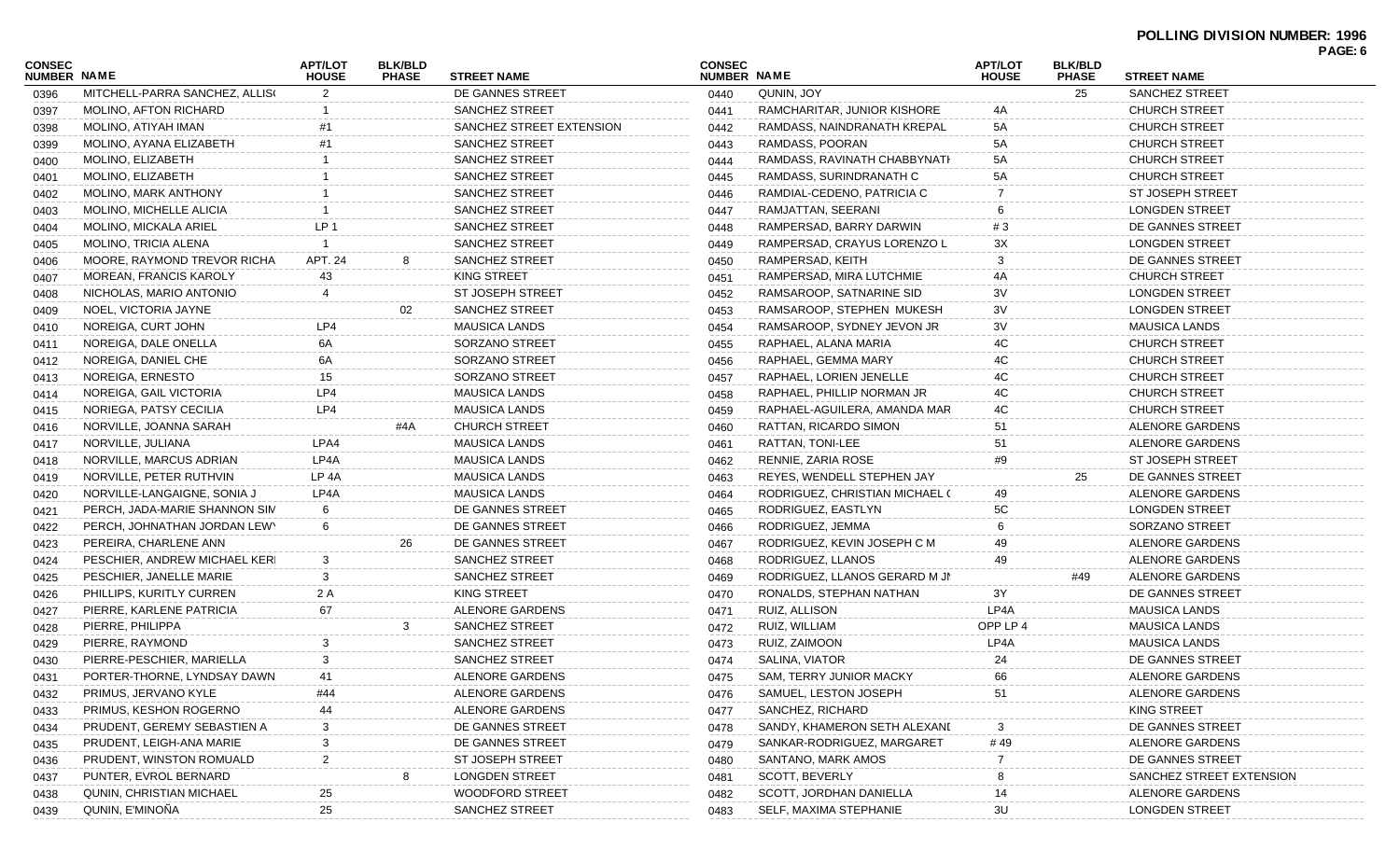#### **POLLING DIVISION NUMBER: 1996 PAGE: 6**

| CONSEC<br><b>NUMBER NAME</b> |                                | <b>APT/LOT</b><br><b>HOUSE</b> | <b>BLK/BLD</b><br><b>PHASE</b> | <b>STREET NAME</b>       | <b>CONSEC</b><br>NUMBER NAME |                                | <b>APT/LOT</b><br><b>HOUSE</b> | <b>BLK/BLD</b><br><b>PHASE</b> | <b>STREET NAME</b>       | <b>FAGE.U</b> |
|------------------------------|--------------------------------|--------------------------------|--------------------------------|--------------------------|------------------------------|--------------------------------|--------------------------------|--------------------------------|--------------------------|---------------|
| 0396                         | MITCHELL-PARRA SANCHEZ, ALLISO |                                |                                | DE GANNES STREET         | 0440                         | QUNIN, JOY                     |                                | 25                             | SANCHEZ STREET           |               |
| 0397                         | MOLINO, AFTON RICHARD          |                                |                                | SANCHEZ STREET           | 0441                         | RAMCHARITAR, JUNIOR KISHORE    | 4A                             |                                | <b>CHURCH STREET</b>     |               |
| 0398                         | MOLINO, ATIYAH IMAN            |                                |                                | SANCHEZ STREET EXTENSION | 0442                         | RAMDASS, NAINDRANATH KREPAL    | 5A                             |                                | <b>CHURCH STREET</b>     |               |
| 0399                         | MOLINO, AYANA ELIZABETH        |                                |                                | <b>SANCHEZ STREET</b>    | 0443                         | RAMDASS, POORAN                | 5A                             |                                | <b>CHURCH STREET</b>     |               |
| 0400                         | MOLINO, ELIZABETH              |                                |                                | <b>SANCHEZ STREET</b>    | 0444                         | RAMDASS, RAVINATH CHABBYNATH   | 5A                             |                                | <b>CHURCH STREET</b>     |               |
| 0401                         | MOLINO, ELIZABETH              |                                |                                | <b>SANCHEZ STREET</b>    | 0445                         | RAMDASS, SURINDRANATH C        | 5А                             |                                | <b>CHURCH STREET</b>     |               |
| 0402                         | MOLINO, MARK ANTHONY           |                                |                                | <b>SANCHEZ STREET</b>    | 0446                         | RAMDIAL-CEDENO, PATRICIA C     |                                |                                | <b>ST JOSEPH STREET</b>  |               |
| 0403                         | MOLINO, MICHELLE ALICIA        |                                |                                | <b>SANCHEZ STREET</b>    | 0447                         | RAMJATTAN, SEERANI             |                                |                                | <b>LONGDEN STREET</b>    |               |
| 0404                         | <b>MOLINO, MICKALA ARIEL</b>   | LP 1                           |                                | <b>SANCHEZ STREET</b>    | 0448                         | RAMPERSAD, BARRY DARWIN        | #3                             |                                | DE GANNES STREET         |               |
| 0405                         | MOLINO, TRICIA ALENA           |                                |                                | <b>SANCHEZ STREET</b>    | 0449                         | RAMPERSAD, CRAYUS LORENZO L    | ЗΧ                             |                                | <b>LONGDEN STREET</b>    |               |
| 0406                         | MOORE, RAYMOND TREVOR RICHA    | APT. 24                        |                                | <b>SANCHEZ STREET</b>    | 0450                         | RAMPERSAD, KEITH               | 3                              |                                | DE GANNES STREET         |               |
| 0407                         | <b>MOREAN, FRANCIS KAROLY</b>  | 43                             |                                | KING STREET              | 0451                         | RAMPERSAD, MIRA LUTCHMIE       | 4A                             |                                | <b>CHURCH STREET</b>     |               |
| 0408                         | NICHOLAS, MARIO ANTONIO        | 4                              |                                | <b>ST JOSEPH STREET</b>  | 0452                         | RAMSAROOP, SATNARINE SID       | 3V                             |                                | <b>LONGDEN STREET</b>    |               |
| 0409                         | NOEL, VICTORIA JAYNE           |                                | 02                             | <b>SANCHEZ STREET</b>    | 0453                         | RAMSAROOP, STEPHEN MUKESH      | 3V                             |                                | <b>LONGDEN STREET</b>    |               |
| 0410                         | NOREIGA, CURT JOHN             | LP4                            |                                | <b>MAUSICA LANDS</b>     | 0454                         | RAMSAROOP, SYDNEY JEVON JR     | 3V                             |                                | <b>MAUSICA LANDS</b>     |               |
| 0411                         | NOREIGA, DALE ONELLA           | 6A                             |                                | SORZANO STREET           | 0455                         | RAPHAEL, ALANA MARIA           | 4C                             |                                | <b>CHURCH STREET</b>     |               |
| 0412                         | NOREIGA, DANIEL CHE            | 6A                             |                                | SORZANO STREET           | 0456                         | RAPHAEL, GEMMA MARY            | 4C                             |                                | <b>CHURCH STREET</b>     |               |
| 0413                         | NOREIGA, ERNESTO               | 15                             |                                | SORZANO STREET           | 0457                         | RAPHAEL, LORIEN JENELLE        | 4C                             |                                | <b>CHURCH STREET</b>     |               |
| 0414                         | NOREIGA, GAIL VICTORIA         | LP4                            |                                | <b>MAUSICA LANDS</b>     | 0458                         | RAPHAEL, PHILLIP NORMAN JR     | 4C                             |                                | <b>CHURCH STREET</b>     |               |
| 0415                         | NORIEGA, PATSY CECILIA         | LP4                            |                                | <b>MAUSICA LANDS</b>     | 0459                         | RAPHAEL-AGUILERA, AMANDA MAR   | 4C                             |                                | <b>CHURCH STREET</b>     |               |
| 0416                         | NORVILLE, JOANNA SARAH         |                                | #4A                            | <b>CHURCH STREET</b>     | 0460                         | RATTAN, RICARDO SIMON          | 51                             |                                | ALENORE GARDENS          |               |
| 0417                         | NORVILLE, JULIANA              | LPA4                           |                                | <b>MAUSICA LANDS</b>     | 0461                         | RATTAN, TONI-LEE               | 51                             |                                | ALENORE GARDENS          |               |
| 0418                         | NORVILLE, MARCUS ADRIAN        | LP4A                           |                                | <b>MAUSICA LANDS</b>     | 0462                         | RENNIE, ZARIA ROSE             | #9                             |                                | ST JOSEPH STREET         |               |
| 0419                         | NORVILLE, PETER RUTHVIN        | LP 4A                          |                                | <b>MAUSICA LANDS</b>     | 0463                         | REYES, WENDELL STEPHEN JAY     |                                | 25                             | DE GANNES STREET         |               |
| 0420                         | NORVILLE-LANGAIGNE, SONIA J    | LP4A                           |                                | <b>MAUSICA LANDS</b>     | 0464                         | RODRIGUEZ, CHRISTIAN MICHAEL ( | 49                             |                                | ALENORE GARDENS          |               |
| 0421                         | PERCH, JADA-MARIE SHANNON SIM  | 6                              |                                | DE GANNES STREET         | 0465                         | RODRIGUEZ, EASTLYN             | 5С                             |                                | <b>LONGDEN STREET</b>    |               |
| 0422                         | PERCH, JOHNATHAN JORDAN LEWY   |                                |                                | DE GANNES STREET         | 0466                         | RODRIGUEZ, JEMMA               |                                |                                | SORZANO STREET           |               |
| 0423                         | PEREIRA, CHARLENE ANN          |                                | 26                             | DE GANNES STREET         | 0467                         | RODRIGUEZ, KEVIN JOSEPH C M    | 49                             |                                | ALENORE GARDENS          |               |
| 0424                         | PESCHIER, ANDREW MICHAEL KERI  | 3                              |                                | <b>SANCHEZ STREET</b>    | 0468                         | RODRIGUEZ, LLANOS              | 49                             |                                | ALENORE GARDENS          |               |
| 0425                         | PESCHIER, JANELLE MARIE        | 3                              |                                | <b>SANCHEZ STREET</b>    | 0469                         | RODRIGUEZ, LLANOS GERARD M JN  |                                | #49                            | ALENORE GARDENS          |               |
| 0426                         | PHILLIPS, KURITLY CURREN       | 2 A                            |                                | KING STREET              | 0470                         | RONALDS, STEPHAN NATHAN        | 3Y                             |                                | DE GANNES STREET         |               |
| 0427                         | PIERRE, KARLENE PATRICIA       | 67                             |                                | ALENORE GARDENS          | 0471                         | RUIZ, ALLISON                  | LP4A                           |                                | <b>MAUSICA LANDS</b>     |               |
| 0428                         | PIERRE, PHILIPPA               |                                |                                | SANCHEZ STREET           | 0472                         | RUIZ, WILLIAM                  | OPP LP 4                       |                                | <b>MAUSICA LANDS</b>     |               |
| 0429                         | PIERRE, RAYMOND                |                                |                                | <b>SANCHEZ STREET</b>    | 0473                         | RUIZ, ZAIMOON                  | LP4A                           |                                | <b>MAUSICA LANDS</b>     |               |
| 0430                         | PIERRE-PESCHIER, MARIELLA      | 3                              |                                | SANCHEZ STREET           | 0474                         | SALINA, VIATOR                 | 24                             |                                | DE GANNES STREET         |               |
| 0431                         | PORTER-THORNE, LYNDSAY DAWN    | 41                             |                                | ALENORE GARDENS          | 0475                         | SAM, TERRY JUNIOR MACKY        | 66                             |                                | ALENORE GARDENS          |               |
| 0432                         | PRIMUS, JERVANO KYLE           | #44                            |                                | ALENORE GARDENS          | 0476                         | SAMUEL, LESTON JOSEPH          | 51                             |                                | ALENORE GARDENS          |               |
| 0433                         | PRIMUS, KESHON ROGERNO         |                                |                                | ALENORE GARDENS          | 0477                         | SANCHEZ, RICHARD               |                                |                                | KING STREET              |               |
| 0434                         | PRUDENT, GEREMY SEBASTIEN A    |                                |                                | DE GANNES STREET         | 0478                         | SANDY, KHAMERON SETH ALEXANI   |                                |                                | DE GANNES STREET         |               |
| 0435                         | PRUDENT, LEIGH-ANA MARIE       |                                |                                | DE GANNES STREET         | 0479                         | SANKAR-RODRIGUEZ, MARGARET     | # 49                           |                                | ALENORE GARDENS          |               |
| 0436                         | PRUDENT, WINSTON ROMUALD       | 2                              |                                | <b>ST JOSEPH STREET</b>  | 0480                         | SANTANO, MARK AMOS             |                                |                                | DE GANNES STREET         |               |
| 0437                         | PUNTER, EVROL BERNARD          |                                |                                | <b>LONGDEN STREET</b>    | 0481                         | SCOTT, BEVERLY                 |                                |                                | SANCHEZ STREET EXTENSION |               |
| 0438                         | QUNIN, CHRISTIAN MICHAEL       | 25                             |                                | <b>WOODFORD STREET</b>   | 0482                         | SCOTT, JORDHAN DANIELLA        | 14                             |                                | ALENORE GARDENS          |               |
| 0439                         | QUNIN, E'MINOÑA                | 25                             |                                | <b>SANCHEZ STREET</b>    | 0483                         | SELF, MAXIMA STEPHANIE         | 3U                             |                                | <b>LONGDEN STREET</b>    |               |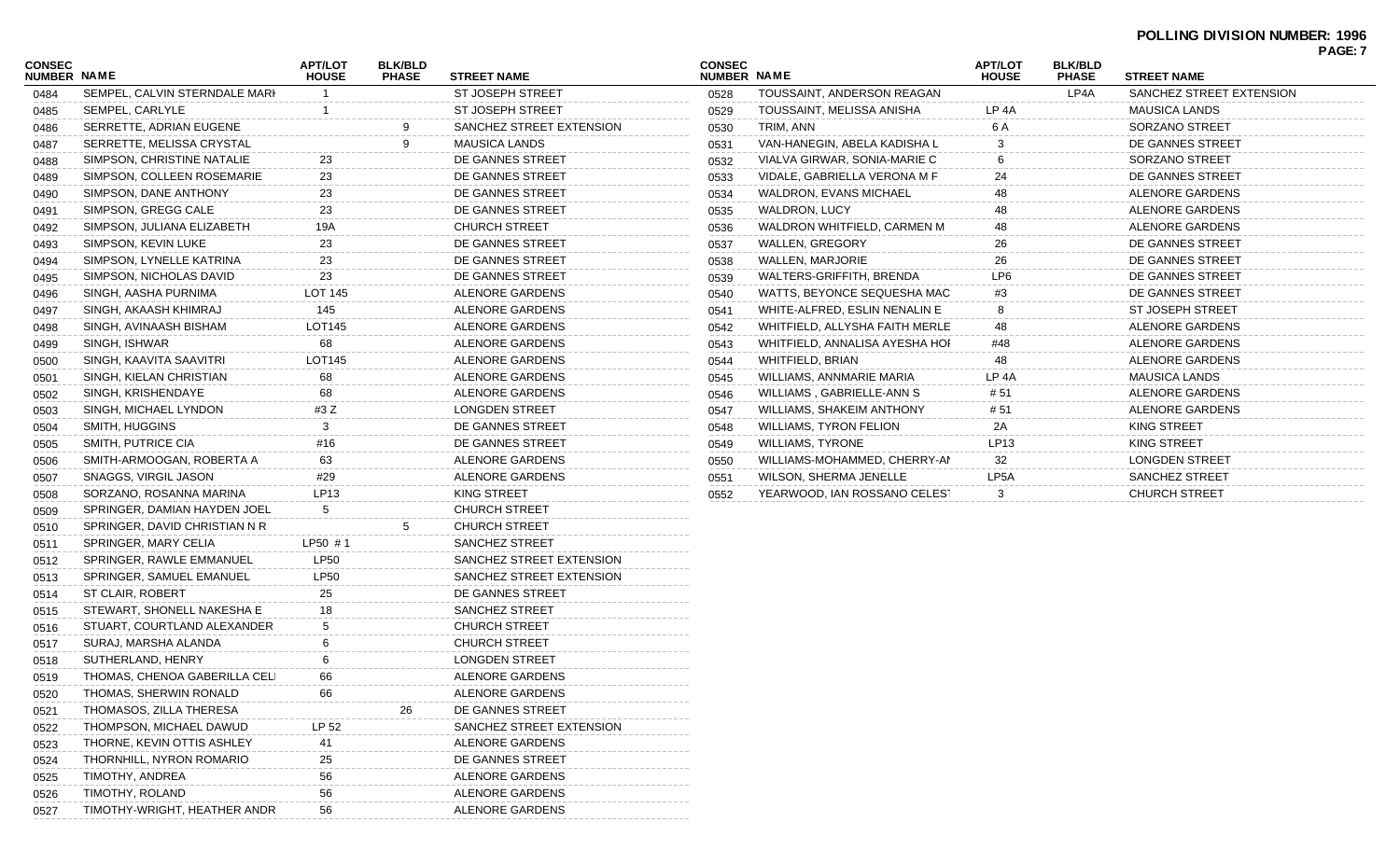## **POLLING DIVISION NUMBER: 1996**

| <b>CONSEC</b><br>NUMBER NAME |                               | <b>APT/LOT</b><br><b>HOUSE</b> | <b>BLK/BLD</b><br><b>PHASE</b> | <b>STREET NAME</b>       | <b>CONSEC</b><br>NUMBER NAME |                                | <b>APT/LOT</b><br><b>HOUSE</b> | <b>BLK/BLD</b><br><b>PHASE</b> | <b>STREET NAME</b>       |  |
|------------------------------|-------------------------------|--------------------------------|--------------------------------|--------------------------|------------------------------|--------------------------------|--------------------------------|--------------------------------|--------------------------|--|
| 0484                         | SEMPEL, CALVIN STERNDALE MARI |                                |                                | <b>ST JOSEPH STREET</b>  | 0528                         | TOUSSAINT, ANDERSON REAGAN     |                                | LP4A                           | SANCHEZ STREET EXTENSION |  |
| 0485                         | SEMPEL, CARLYLE               |                                |                                | <b>ST JOSEPH STREET</b>  | 0529                         | TOUSSAINT, MELISSA ANISHA      | LP 4A                          |                                | <b>MAUSICA LANDS</b>     |  |
| 0486                         | SERRETTE, ADRIAN EUGENE       |                                |                                | SANCHEZ STREET EXTENSION | 0530                         | TRIM, ANN                      | 6 A                            |                                | SORZANO STREET           |  |
| 0487                         | SERRETTE, MELISSA CRYSTAL     |                                |                                | <b>MAUSICA LANDS</b>     | 0531                         | VAN-HANEGIN, ABELA KADISHA L   |                                |                                | DE GANNES STREET         |  |
| 0488                         | SIMPSON, CHRISTINE NATALIE    | 23                             |                                | DE GANNES STREET         | 0532                         | VIALVA GIRWAR, SONIA-MARIE C   |                                |                                | SORZANO STREET           |  |
| 0489                         | SIMPSON, COLLEEN ROSEMARIE    | 23                             |                                | DE GANNES STREET         | 0533                         | VIDALE, GABRIELLA VERONA M F   |                                |                                | DE GANNES STREET         |  |
| 0490                         | SIMPSON, DANE ANTHONY         | 23                             |                                | DE GANNES STREET         | 0534                         | <b>WALDRON, EVANS MICHAEL</b>  |                                |                                | ALENORE GARDENS          |  |
| 0491                         | SIMPSON, GREGG CALE           | 23                             |                                | DE GANNES STREET         | 0535                         | WALDRON, LUCY                  |                                |                                | ALENORE GARDENS          |  |
| 0492                         | SIMPSON, JULIANA ELIZABETH    | 19A                            |                                | <b>CHURCH STREET</b>     | 0536                         | WALDRON WHITFIELD, CARMEN M    |                                |                                | ALENORE GARDENS          |  |
| 0493                         | SIMPSON, KEVIN LUKE           | 23                             |                                | DE GANNES STREET         | 0537                         | <b>WALLEN, GREGORY</b>         |                                |                                | DE GANNES STREET         |  |
| 0494                         | SIMPSON, LYNELLE KATRINA      | 23                             |                                | DE GANNES STREET         | 0538                         | WALLEN, MARJORIE               |                                |                                | DE GANNES STREET         |  |
| 0495                         | SIMPSON, NICHOLAS DAVID       | 23                             |                                | DE GANNES STREET         | 0539                         | WALTERS-GRIFFITH, BRENDA       | LP6                            |                                | DE GANNES STREET         |  |
| 0496                         | SINGH, AASHA PURNIMA          | LOT 145                        |                                | ALENORE GARDENS          | 0540                         | WATTS, BEYONCE SEQUESHA MAC    |                                |                                | DE GANNES STREET         |  |
| 0497                         | SINGH, AKAASH KHIMRAJ         | 145                            |                                | ALENORE GARDENS          | 0541                         | WHITE-ALFRED, ESLIN NENALIN E  |                                |                                | <b>ST JOSEPH STREET</b>  |  |
| 0498                         | SINGH, AVINAASH BISHAM        | LOT145                         |                                | ALENORE GARDENS          | 0542                         | WHITFIELD, ALLYSHA FAITH MERLE | 48                             |                                | ALENORE GARDENS          |  |
| 0499                         | SINGH, ISHWAR                 | 68                             |                                | ALENORE GARDENS          | 0543                         | WHITFIELD, ANNALISA AYESHA HOI | #48                            |                                | ALENORE GARDENS          |  |
| 0500                         | SINGH, KAAVITA SAAVITRI       | LOT145                         |                                | ALENORE GARDENS          | 0544                         | <b>WHITFIELD, BRIAN</b>        | 48                             |                                | ALENORE GARDENS          |  |
| 0501                         | SINGH, KIELAN CHRISTIAN       | 68                             |                                | ALENORE GARDENS          | 0545                         | WILLIAMS, ANNMARIE MARIA       | LP 4A                          |                                | <b>MAUSICA LANDS</b>     |  |
| 0502                         | SINGH, KRISHENDAYE            | 68                             |                                | ALENORE GARDENS          | 0546                         | WILLIAMS, GABRIELLE-ANN S      | # 51                           |                                | ALENORE GARDENS          |  |
| 0503                         | SINGH, MICHAEL LYNDON         | #3 Z                           |                                | <b>LONGDEN STREET</b>    | 0547                         | WILLIAMS, SHAKEIM ANTHONY      | # 51                           |                                | ALENORE GARDENS          |  |
| 0504                         | SMITH, HUGGINS                |                                |                                | DE GANNES STREET         | 0548                         | <b>WILLIAMS, TYRON FELION</b>  | 2A                             |                                | <b>KING STREET</b>       |  |
| 0505                         | SMITH, PUTRICE CIA            | #16                            |                                | DE GANNES STREET         | 0549                         | <b>WILLIAMS, TYRONE</b>        | LP13                           |                                | <b>KING STREET</b>       |  |
| 0506                         | SMITH-ARMOOGAN, ROBERTA A     | 63                             |                                | ALENORE GARDENS          | 0550                         | WILLIAMS-MOHAMMED, CHERRY-AN   | 32                             |                                | <b>LONGDEN STREET</b>    |  |
| 0507                         | SNAGGS, VIRGIL JASON          | #29                            |                                | ALENORE GARDENS          | 0551                         | WILSON, SHERMA JENELLE         | LP <sub>5</sub> A              |                                | <b>SANCHEZ STREET</b>    |  |
| 0508                         | SORZANO, ROSANNA MARINA       | LP <sub>13</sub>               |                                | <b>KING STREET</b>       | 0552                         | YEARWOOD, IAN ROSSANO CELEST   |                                |                                | <b>CHURCH STREET</b>     |  |
| 0509                         | SPRINGER, DAMIAN HAYDEN JOEL  | 5                              |                                | <b>CHURCH STREET</b>     |                              |                                |                                |                                |                          |  |
| 0510                         | SPRINGER, DAVID CHRISTIAN N R |                                | 5                              | <b>CHURCH STREET</b>     |                              |                                |                                |                                |                          |  |
| 0511                         | SPRINGER, MARY CELIA          | $LP50$ #1                      |                                | <b>SANCHEZ STREET</b>    |                              |                                |                                |                                |                          |  |
| 0512                         | SPRINGER, RAWLE EMMANUEL      | <b>LP50</b>                    |                                | SANCHEZ STREET EXTENSION |                              |                                |                                |                                |                          |  |
| 0513                         | SPRINGER, SAMUEL EMANUEL      | <b>LP50</b>                    |                                | SANCHEZ STREET EXTENSION |                              |                                |                                |                                |                          |  |
| 0514                         | ST CLAIR, ROBERT              | 25                             |                                | DE GANNES STREET         |                              |                                |                                |                                |                          |  |
| 0515                         | STEWART, SHONELL NAKESHA E    | 18                             |                                | <b>SANCHEZ STREET</b>    |                              |                                |                                |                                |                          |  |
| 0516                         | STUART, COURTLAND ALEXANDER   |                                |                                | <b>CHURCH STREET</b>     |                              |                                |                                |                                |                          |  |
| 0517                         | SURAJ, MARSHA ALANDA          |                                |                                | <b>CHURCH STREET</b>     |                              |                                |                                |                                |                          |  |
| 0518                         | SUTHERLAND, HENRY             |                                |                                | <b>LONGDEN STREET</b>    |                              |                                |                                |                                |                          |  |
| 0519                         | THOMAS, CHENOA GABERILLA CELI |                                |                                | ALENORE GARDENS          |                              |                                |                                |                                |                          |  |
| 0520                         | THOMAS, SHERWIN RONALD        | 66                             |                                | ALENORE GARDENS          |                              |                                |                                |                                |                          |  |
| 0521                         | THOMASOS, ZILLA THERESA       |                                | 26                             | DE GANNES STREET         |                              |                                |                                |                                |                          |  |
| 0522                         | THOMPSON, MICHAEL DAWUD       | LP 52                          |                                | SANCHEZ STREET EXTENSION |                              |                                |                                |                                |                          |  |
| 0523                         | THORNE, KEVIN OTTIS ASHLEY    | 41                             |                                | ALENORE GARDENS          |                              |                                |                                |                                |                          |  |
| 0524                         | THORNHILL, NYRON ROMARIO      | 25                             |                                | DE GANNES STREET         |                              |                                |                                |                                |                          |  |
| 0525                         | TIMOTHY, ANDREA               | 56                             |                                | ALENORE GARDENS          |                              |                                |                                |                                |                          |  |

0525 TIMOTHY, ANDREA 56 56 ALENORE GARDENS<br>0526 TIMOTHY, ROLAND 56 ALENORE GARDENS<br>0527 TIMOTHY-WRIGHT, HEATHER ANDR 56 ALENORE GARDENS 0526 TIMOTHY, ROLAND 56 ALENORE GARDENS 0527 TIMOTHY-WRIGHT, HEATHER ANDR 56 6 ALENORE GARDENS **PAGE: 7**